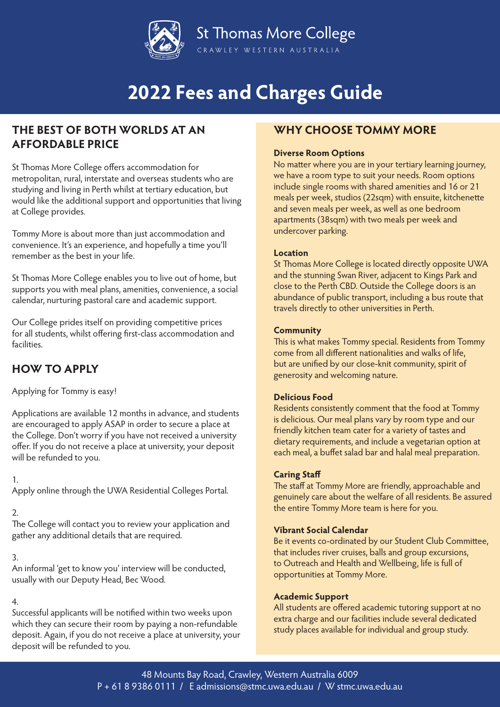

## **THE BEST OF BOTH WORLDS AT AN AFFORDABLE PRICE**

St Thomas More College offers accommodation for metropolitan, rural, interstate and overseas students who are studying and living in Perth whilst at tertiary education, but would like the additional support and opportunities that living at College provides.

Tommy More is about more than just accommodation and convenience. It's an experience, and hopefully a time you'll remember as the best in your life.

St Thomas More College enables you to live out of home, but supports you with meal plans, amenities, convenience, a social calendar, nurturing pastoral care and academic support.

Our College prides itself on providing competitive prices for all students, whilst offering first-class accommodation and facilities.

## **HOW TO APPLY**

Applying for Tommy is easy!

Applications are available 12 months in advance, and students are encouraged to apply ASAP in order to secure a place at the College. Don't worry if you have not received a university offer. If you do not receive a place at university, your deposit will be refunded to you.

## 1.

Apply online through the UWA Residential Colleges Portal.

## 2.

The College will contact you to review your application and gather any additional details that are required.

## 3.

An informal 'get to know you' interview will be conducted, usually with our Deputy Head, Bec Wood.

## 4.

Successful applicants will be notified within two weeks upon which they can secure their room by paying a non-refundable deposit. Again, if you do not receive a place at university, your deposit will be refunded to you.

## **WHY CHOOSE TOMMY MORE**

## **Diverse Room Options**

No matter where you are in your tertiary learning journey, we have a room type to suit your needs. Room options include single rooms with shared amenities and 16 or 21 meals per week, studios (22sqm) with ensuite, kitchenette and seven meals per week, as well as one bedroom apartments (38sqm) with two meals per week and undercover parking.

## **Location**

St Thomas More College is located directly opposite UWA and the stunning Swan River, adjacent to Kings Park and close to the Perth CBD. Outside the College doors is an abundance of public transport, including a bus route that travels directly to other universities in Perth.

## **Community**

This is what makes Tommy special. Residents from Tommy come from all different nationalities and walks of life, but are unified by our close-knit community, spirit of generosity and welcoming nature.

## **Delicious Food**

Residents consistently comment that the food at Tommy is delicious. Our meal plans vary by room type and our friendly kitchen team cater for a variety of tastes and dietary requirements, and include a vegetarian option at each meal, a buffet salad bar and halal meal preparation.

## **Caring Staff**

The staff at Tommy More are friendly, approachable and genuinely care about the welfare of all residents. Be assured the entire Tommy More team is here for you.

## **Vibrant Social Calendar**

Be it events co-ordinated by our Student Club Committee, that includes river cruises, balls and group excursions, to Outreach and Health and Wellbeing, life is full of opportunities at Tommy More.

## **Academic Support**

All students are offered academic tutoring support at no extra charge and our facilities include several dedicated study places available for individual and group study.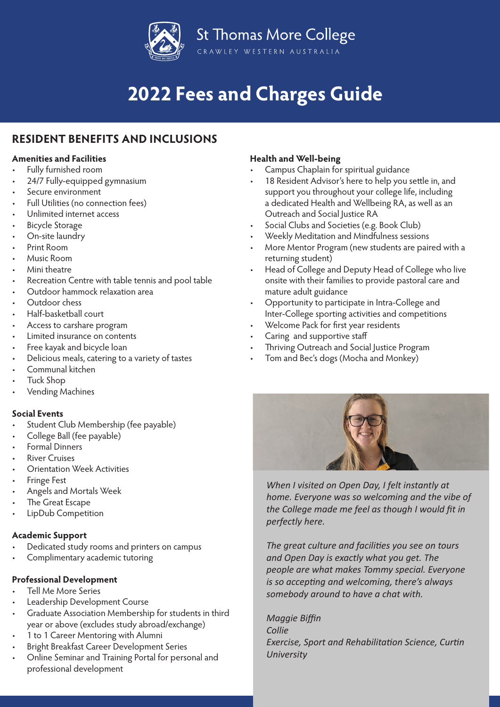

## **RESIDENT BENEFITS AND INCLUSIONS**

## **Amenities and Facilities**

- Fully furnished room
- 24/7 Fully-equipped gymnasium
- Secure environment
- Full Utilities (no connection fees)
- Unlimited internet access
- **Bicycle Storage**
- On-site laundry
- Print Room
- Music Room
- Mini theatre
- Recreation Centre with table tennis and pool table
- Outdoor hammock relaxation area
- Outdoor chess
- Half-basketball court
- Access to carshare program
- Limited insurance on contents
- Free kayak and bicycle loan
- Delicious meals, catering to a variety of tastes
- Communal kitchen
- Tuck Shop
- Vending Machines

## **Social Events**

- Student Club Membership (fee payable)
- College Ball (fee payable)
- Formal Dinners
- River Cruises
- Orientation Week Activities
- Fringe Fest
- Angels and Mortals Week
- The Great Escape
- LipDub Competition

## **Academic Support**

- Dedicated study rooms and printers on campus
- Complimentary academic tutoring

## **Professional Development**

- Tell Me More Series
- Leadership Development Course
- Graduate Association Membership for students in third year or above (excludes study abroad/exchange)
- 1 to 1 Career Mentoring with Alumni
- Bright Breakfast Career Development Series
- Online Seminar and Training Portal for personal and professional development

## **Health and Well-being**

- Campus Chaplain for spiritual guidance
- 18 Resident Advisor's here to help you settle in, and support you throughout your college life, including a dedicated Health and Wellbeing RA, as well as an Outreach and Social Justice RA
- Social Clubs and Societies (e.g. Book Club)
- Weekly Meditation and Mindfulness sessions
- More Mentor Program (new students are paired with a returning student)
- Head of College and Deputy Head of College who live onsite with their families to provide pastoral care and mature adult guidance
- Opportunity to participate in Intra-College and Inter-College sporting activities and competitions
- Welcome Pack for first year residents
- Caring and supportive staff
- Thriving Outreach and Social Justice Program
- Tom and Bec's dogs (Mocha and Monkey)



*When I visited on Open Day, I felt instantly at home. Everyone was so welcoming and the vibe of the College made me feel as though I would fit in perfectly here.*

*The great culture and facilities you see on tours and Open Day is exactly what you get. The people are what makes Tommy special. Everyone is so accepting and welcoming, there's always somebody around to have a chat with.*

*Maggie Biffin Collie Exercise, Sport and Rehabilitation Science, Curtin University*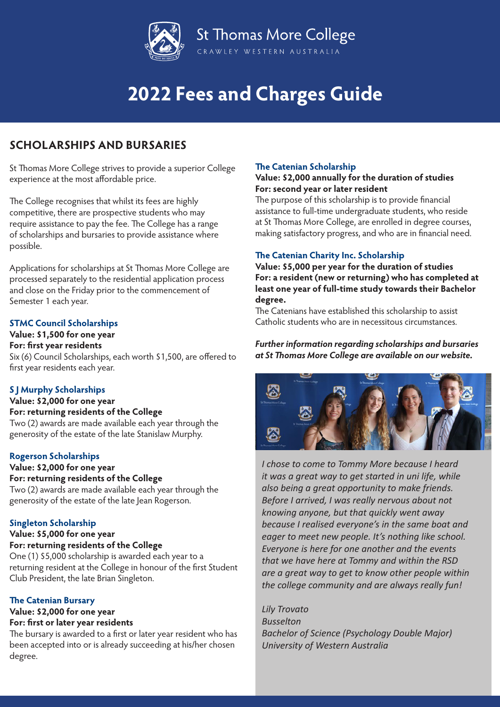

## **SCHOLARSHIPS AND BURSARIES**

St Thomas More College strives to provide a superior College experience at the most affordable price.

The College recognises that whilst its fees are highly competitive, there are prospective students who may require assistance to pay the fee. The College has a range of scholarships and bursaries to provide assistance where possible.

Applications for scholarships at St Thomas More College are processed separately to the residential application process and close on the Friday prior to the commencement of Semester 1 each year.

## **STMC Council Scholarships**

#### **Value: \$1,500 for one year**

#### **For: first year residents**

Six (6) Council Scholarships, each worth \$1,500, are offered to first year residents each year.

## **S J Murphy Scholarships**

## **Value: \$2,000 for one year For: returning residents of the College** Two (2) awards are made available each year through the generosity of the estate of the late Stanislaw Murphy.

## **Rogerson Scholarships**

## **Value: \$2,000 for one year For: returning residents of the College**

Two (2) awards are made available each year through the generosity of the estate of the late Jean Rogerson.

## **Singleton Scholarship**

#### **Value: \$5,000 for one year For: returning residents of the College**

One (1) \$5,000 scholarship is awarded each year to a returning resident at the College in honour of the first Student Club President, the late Brian Singleton.

## **The Catenian Bursary**

#### **Value: \$2,000 for one year For: first or later year residents**

The bursary is awarded to a first or later year resident who has been accepted into or is already succeeding at his/her chosen degree.

## **The Catenian Scholarship**

## **Value: \$2,000 annually for the duration of studies For: second year or later resident**

The purpose of this scholarship is to provide financial assistance to full-time undergraduate students, who reside at St Thomas More College, are enrolled in degree courses, making satisfactory progress, and who are in financial need.

## **The Catenian Charity Inc. Scholarship**

**Value: \$5,000 per year for the duration of studies For: a resident (new or returning) who has completed at least one year of full-time study towards their Bachelor degree.**

The Catenians have established this scholarship to assist Catholic students who are in necessitous circumstances.

## *Further information regarding scholarships and bursaries at St Thomas More College are available on our website.*



*I chose to come to Tommy More because I heard it was a great way to get started in uni life, while also being a great opportunity to make friends. Before I arrived, I was really nervous about not knowing anyone, but that quickly went away because I realised everyone's in the same boat and eager to meet new people. It's nothing like school. Everyone is here for one another and the events that we have here at Tommy and within the RSD are a great way to get to know other people within the college community and are always really fun!*

*Lily Trovato Busselton Bachelor of Science (Psychology Double Major) University of Western Australia*